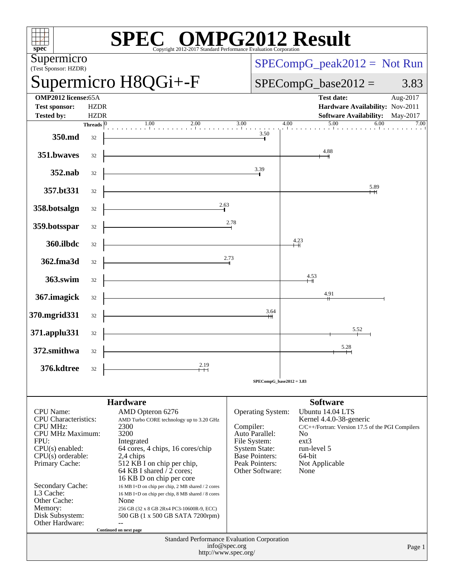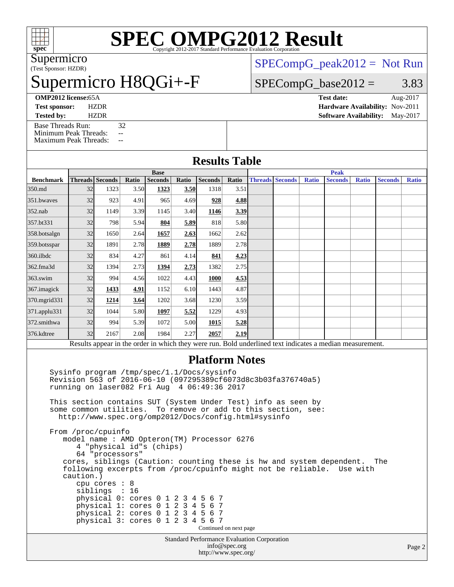

# **[SPEC OMPG2012 Result](http://www.spec.org/auto/omp2012/Docs/result-fields.html#SPECOMPG2012Result)**

(Test Sponsor: HZDR) Supermicro

## permicro H8QGi+-F

 $SPECompG_peak2012 = Not Run$  $SPECompG_peak2012 = Not Run$ 

#### $SPECompG_base2012 = 3.83$  $SPECompG_base2012 = 3.83$

**[Tested by:](http://www.spec.org/auto/omp2012/Docs/result-fields.html#Testedby)** HZDR **[Software Availability:](http://www.spec.org/auto/omp2012/Docs/result-fields.html#SoftwareAvailability)** May-2017 [Base Threads Run:](http://www.spec.org/auto/omp2012/Docs/result-fields.html#BaseThreadsRun) 32

[Minimum Peak Threads:](http://www.spec.org/auto/omp2012/Docs/result-fields.html#MinimumPeakThreads) --

[Maximum Peak Threads:](http://www.spec.org/auto/omp2012/Docs/result-fields.html#MaximumPeakThreads) --

| <b>OMP2012 license:</b> 65A |         | Test date:                             | Aug-2017 |  |
|-----------------------------|---------|----------------------------------------|----------|--|
| <b>Test sponsor:</b>        | HZDR    | <b>Hardware Availability: Nov-2011</b> |          |  |
| $T$ <sub>cated</sub> $I$    | 117 D D | Roftwaye Arailability, May 2017        |          |  |

| <b>Results Table</b> |  |
|----------------------|--|
|                      |  |

|                    | <b>Base</b> |                        |       |                |       |                | <b>Peak</b> |  |                        |              |                                                                                                         |              |                |              |
|--------------------|-------------|------------------------|-------|----------------|-------|----------------|-------------|--|------------------------|--------------|---------------------------------------------------------------------------------------------------------|--------------|----------------|--------------|
| <b>Benchmark</b>   |             | <b>Threads</b> Seconds | Ratio | <b>Seconds</b> | Ratio | <b>Seconds</b> | Ratio       |  | <b>Threads Seconds</b> | <b>Ratio</b> | <b>Seconds</b>                                                                                          | <b>Ratio</b> | <b>Seconds</b> | <b>Ratio</b> |
| 350.md             | 32          | 1323                   | 3.50  | 1323           | 3.50  | 1318           | 3.51        |  |                        |              |                                                                                                         |              |                |              |
| 351.bwayes         | 32          | 923                    | 4.91  | 965            | 4.69  | 928            | 4.88        |  |                        |              |                                                                                                         |              |                |              |
| $352$ .nab         | 32          | 1149                   | 3.39  | 1145           | 3.40  | 1146           | 3.39        |  |                        |              |                                                                                                         |              |                |              |
| 357.bt331          | 32          | 798                    | 5.94  | 804            | 5.89  | 818            | 5.80        |  |                        |              |                                                                                                         |              |                |              |
| 358.botsalgn       | 32          | 1650                   | 2.64  | 1657           | 2.63  | 1662           | 2.62        |  |                        |              |                                                                                                         |              |                |              |
| 359.botsspar       | 32          | 1891                   | 2.78  | 1889           | 2.78  | 1889           | 2.78        |  |                        |              |                                                                                                         |              |                |              |
| $360$ .ilbdc       | 32          | 834                    | 4.27  | 861            | 4.14  | 841            | 4.23        |  |                        |              |                                                                                                         |              |                |              |
| 362.fma3d          | 32          | 1394                   | 2.73  | 1394           | 2.73  | 1382           | 2.75        |  |                        |              |                                                                                                         |              |                |              |
| $363$ .swim        | 32          | 994                    | 4.56  | 1022           | 4.43  | 1000           | 4.53        |  |                        |              |                                                                                                         |              |                |              |
| 367.imagick        | 32          | 1433                   | 4.91  | 1152           | 6.10  | 1443           | 4.87        |  |                        |              |                                                                                                         |              |                |              |
| 370.mgrid331       | 32          | 1214                   | 3.64  | 1202           | 3.68  | 1230           | 3.59        |  |                        |              |                                                                                                         |              |                |              |
| $371$ .applu $331$ | 32          | 1044                   | 5.80  | 1097           | 5.52  | 1229           | 4.93        |  |                        |              |                                                                                                         |              |                |              |
| 372.smithwa        | 32          | 994                    | 5.39  | 1072           | 5.00  | 1015           | <u>5.28</u> |  |                        |              |                                                                                                         |              |                |              |
| 376.kdtree         | 32          | 2167                   | 2.08  | 1984           | 2.27  | 2057           | 2.19        |  |                        |              |                                                                                                         |              |                |              |
|                    |             |                        |       |                |       |                |             |  |                        |              | Docults appear in the order in which they were run. Rold underlined text indicates a modian measurement |              |                |              |

Results appear in the [order in which they were run.](http://www.spec.org/auto/omp2012/Docs/result-fields.html#RunOrder) Bold underlined text [indicates a median measurement.](http://www.spec.org/auto/omp2012/Docs/result-fields.html#Median)

#### **[Platform Notes](http://www.spec.org/auto/omp2012/Docs/result-fields.html#PlatformNotes)**

 Sysinfo program /tmp/spec/1.1/Docs/sysinfo Revision 563 of 2016-06-10 (097295389cf6073d8c3b03fa376740a5) running on laser082 Fri Aug 4 06:49:36 2017

 This section contains SUT (System Under Test) info as seen by some common utilities. To remove or add to this section, see: <http://www.spec.org/omp2012/Docs/config.html#sysinfo>

 From /proc/cpuinfo model name : AMD Opteron(TM) Processor 6276 4 "physical id"s (chips) 64 "processors" cores, siblings (Caution: counting these is hw and system dependent. The following excerpts from /proc/cpuinfo might not be reliable. Use with caution.) cpu cores : 8 siblings : 16 physical 0: cores 0 1 2 3 4 5 6 7 physical 1: cores 0 1 2 3 4 5 6 7 physical 2: cores 0 1 2 3 4 5 6 7 physical 3: cores 0 1 2 3 4 5 6 7 Continued on next page

Standard Performance Evaluation Corporation [info@spec.org](mailto:info@spec.org) <http://www.spec.org/>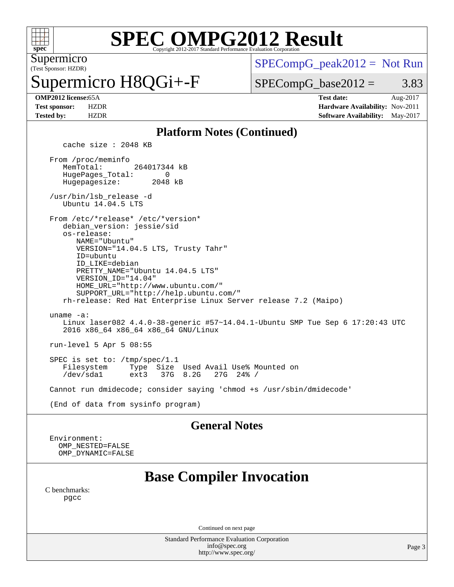

# **[SPEC OMPG2012 Result](http://www.spec.org/auto/omp2012/Docs/result-fields.html#SPECOMPG2012Result)**

(Test Sponsor: HZDR) Supermicro

permicro H8QGi+-F

 $SPECompG_peak2012 = Not Run$  $SPECompG_peak2012 = Not Run$ 

 $SPECompG_base2012 = 3.83$  $SPECompG_base2012 = 3.83$ 

**[OMP2012 license:](http://www.spec.org/auto/omp2012/Docs/result-fields.html#OMP2012license)**65A **[Test date:](http://www.spec.org/auto/omp2012/Docs/result-fields.html#Testdate)** Aug-2017 **[Test sponsor:](http://www.spec.org/auto/omp2012/Docs/result-fields.html#Testsponsor)** HZDR **[Hardware Availability:](http://www.spec.org/auto/omp2012/Docs/result-fields.html#HardwareAvailability)** Nov-2011 **[Tested by:](http://www.spec.org/auto/omp2012/Docs/result-fields.html#Testedby)** HZDR **[Software Availability:](http://www.spec.org/auto/omp2012/Docs/result-fields.html#SoftwareAvailability)** May-2017

#### **[Platform Notes \(Continued\)](http://www.spec.org/auto/omp2012/Docs/result-fields.html#PlatformNotes)**

cache size : 2048 KB

 From /proc/meminfo MemTotal: 264017344 kB HugePages\_Total: 0<br>Hugepagesize: 2048 kB Hugepagesize:

 /usr/bin/lsb\_release -d Ubuntu 14.04.5 LTS

From /etc/\*release\* /etc/\*version\*

 debian\_version: jessie/sid os-release:

 NAME="Ubuntu" VERSION="14.04.5 LTS, Trusty Tahr" ID=ubuntu

ID\_LIKE=debian

 PRETTY\_NAME="Ubuntu 14.04.5 LTS" VERSION\_ID="14.04" HOME\_URL="<http://www.ubuntu.com/"> SUPPORT\_URL="<http://help.ubuntu.com/"> rh-release: Red Hat Enterprise Linux Server release 7.2 (Maipo) uname -a: Linux laser082 4.4.0-38-generic #57~14.04.1-Ubuntu SMP Tue Sep 6 17:20:43 UTC 2016 x86\_64 x86\_64 x86\_64 GNU/Linux

run-level 5 Apr 5 08:55

SPEC is set to: /tmp/spec/1.1<br>Filesystem Type Size Filesystem Type Size Used Avail Use% Mounted on 37G 8.2G

Cannot run dmidecode; consider saying 'chmod +s /usr/sbin/dmidecode'

(End of data from sysinfo program)

#### **[General Notes](http://www.spec.org/auto/omp2012/Docs/result-fields.html#GeneralNotes)**

 Environment: OMP\_NESTED=FALSE OMP\_DYNAMIC=FALSE

### **[Base Compiler Invocation](http://www.spec.org/auto/omp2012/Docs/result-fields.html#BaseCompilerInvocation)**

[C benchmarks](http://www.spec.org/auto/omp2012/Docs/result-fields.html#Cbenchmarks): [pgcc](http://www.spec.org/omp2012/results/res2017q3/omp2012-20170810-00122.flags.html#user_CCbase_pgcc_l)

Continued on next page

Standard Performance Evaluation Corporation [info@spec.org](mailto:info@spec.org) <http://www.spec.org/>